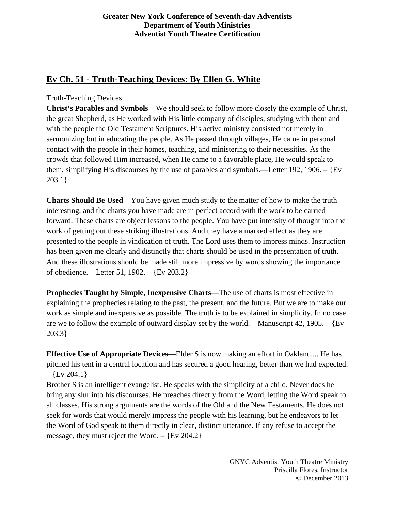## **Greater New York Conference of Seventh-day Adventists Department of Youth Ministries Adventist Youth Theatre Certification**

# **Ev Ch. 51 - Truth-Teaching Devices: By Ellen G. White**

# Truth-Teaching Devices

**Christ's Parables and Symbols**—We should seek to follow more closely the example of Christ, the great Shepherd, as He worked with His little company of disciples, studying with them and with the people the Old Testament Scriptures. His active ministry consisted not merely in sermonizing but in educating the people. As He passed through villages, He came in personal contact with the people in their homes, teaching, and ministering to their necessities. As the crowds that followed Him increased, when He came to a favorable place, He would speak to them, simplifying His discourses by the use of parables and symbols.—Letter 192, 1906. – {Ev 203.1}

**Charts Should Be Used**—You have given much study to the matter of how to make the truth interesting, and the charts you have made are in perfect accord with the work to be carried forward. These charts are object lessons to the people. You have put intensity of thought into the work of getting out these striking illustrations. And they have a marked effect as they are presented to the people in vindication of truth. The Lord uses them to impress minds. Instruction has been given me clearly and distinctly that charts should be used in the presentation of truth. And these illustrations should be made still more impressive by words showing the importance of obedience.—Letter 51, 1902. – {Ev 203.2}

**Prophecies Taught by Simple, Inexpensive Charts**—The use of charts is most effective in explaining the prophecies relating to the past, the present, and the future. But we are to make our work as simple and inexpensive as possible. The truth is to be explained in simplicity. In no case are we to follow the example of outward display set by the world.—Manuscript 42, 1905. –  ${Ev}$ 203.3}

**Effective Use of Appropriate Devices**—Elder S is now making an effort in Oakland.... He has pitched his tent in a central location and has secured a good hearing, better than we had expected.  $-$  {Ev 204.1}

Brother S is an intelligent evangelist. He speaks with the simplicity of a child. Never does he bring any slur into his discourses. He preaches directly from the Word, letting the Word speak to all classes. His strong arguments are the words of the Old and the New Testaments. He does not seek for words that would merely impress the people with his learning, but he endeavors to let the Word of God speak to them directly in clear, distinct utterance. If any refuse to accept the message, they must reject the Word.  $-$  {Ev 204.2}

> GNYC Adventist Youth Theatre Ministry Priscilla Flores, Instructor © December 2013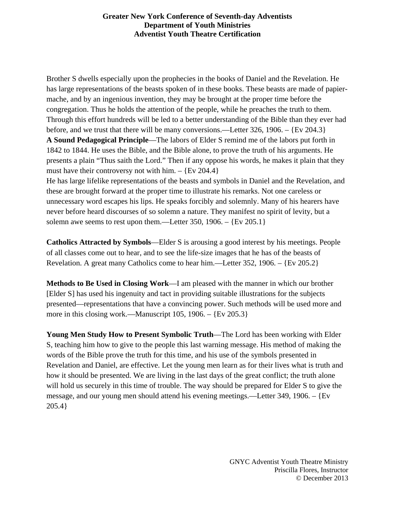#### **Greater New York Conference of Seventh-day Adventists Department of Youth Ministries Adventist Youth Theatre Certification**

Brother S dwells especially upon the prophecies in the books of Daniel and the Revelation. He has large representations of the beasts spoken of in these books. These beasts are made of papiermache, and by an ingenious invention, they may be brought at the proper time before the congregation. Thus he holds the attention of the people, while he preaches the truth to them. Through this effort hundreds will be led to a better understanding of the Bible than they ever had before, and we trust that there will be many conversions.—Letter 326, 1906. – {Ev 204.3} **A Sound Pedagogical Principle**—The labors of Elder S remind me of the labors put forth in 1842 to 1844. He uses the Bible, and the Bible alone, to prove the truth of his arguments. He presents a plain "Thus saith the Lord." Then if any oppose his words, he makes it plain that they

must have their controversy not with him.  $-$  {Ev 204.4}

He has large lifelike representations of the beasts and symbols in Daniel and the Revelation, and these are brought forward at the proper time to illustrate his remarks. Not one careless or unnecessary word escapes his lips. He speaks forcibly and solemnly. Many of his hearers have never before heard discourses of so solemn a nature. They manifest no spirit of levity, but a solemn awe seems to rest upon them.—Letter 350, 1906. – {Ev 205.1}

**Catholics Attracted by Symbols**—Elder S is arousing a good interest by his meetings. People of all classes come out to hear, and to see the life-size images that he has of the beasts of Revelation. A great many Catholics come to hear him.—Letter 352, 1906. – {Ev 205.2}

**Methods to Be Used in Closing Work**—I am pleased with the manner in which our brother [Elder S] has used his ingenuity and tact in providing suitable illustrations for the subjects presented—representations that have a convincing power. Such methods will be used more and more in this closing work.—Manuscript 105, 1906. – {Ev 205.3}

**Young Men Study How to Present Symbolic Truth**—The Lord has been working with Elder S, teaching him how to give to the people this last warning message. His method of making the words of the Bible prove the truth for this time, and his use of the symbols presented in Revelation and Daniel, are effective. Let the young men learn as for their lives what is truth and how it should be presented. We are living in the last days of the great conflict; the truth alone will hold us securely in this time of trouble. The way should be prepared for Elder S to give the message, and our young men should attend his evening meetings.—Letter 349, 1906. – {Ev 205.4}

> GNYC Adventist Youth Theatre Ministry Priscilla Flores, Instructor © December 2013